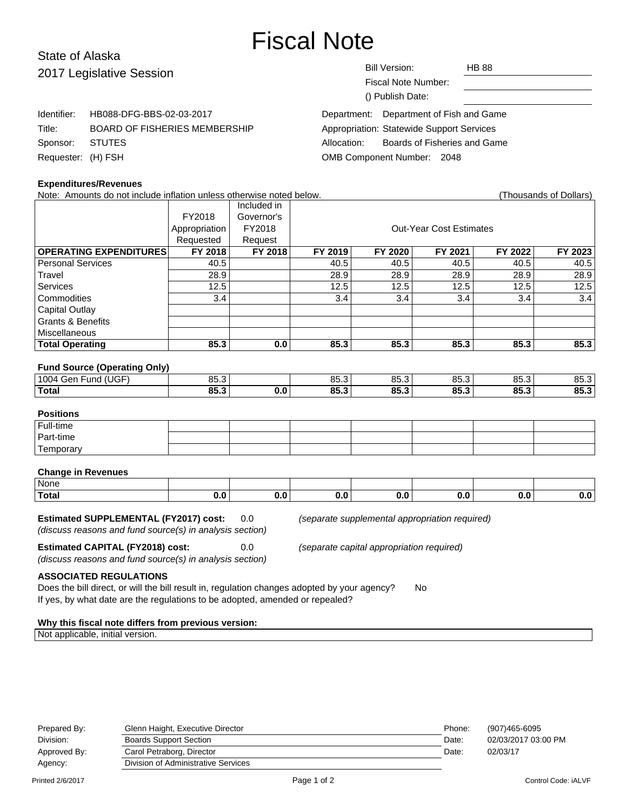# Fiscal Note

# State of Alaska 2017 Legislative Session

Identifier: HB088-DFG-BBS-02-03-2017

Title: BOARD OF FISHERIES MEMBERSHIP

Fiscal Note Number: () Publish Date:

| Department: Department of Fish and Game |  |
|-----------------------------------------|--|

| <b>Appropriation: Statewide Support Services</b> |                              |
|--------------------------------------------------|------------------------------|
| Allocation:                                      | Boards of Fisheries and Game |
| OMB Component Number: 2048                       |                              |

# **Expenditures/Revenues**

Sponsor: STUTES Requester: (H) FSH

Note: Amounts do not include inflation unless otherwise noted below. Note is a mean of Thousands of Dollars)

|                                |               | Included in |                                |         |         |         |         |
|--------------------------------|---------------|-------------|--------------------------------|---------|---------|---------|---------|
|                                | FY2018        | Governor's  |                                |         |         |         |         |
|                                | Appropriation | FY2018      | <b>Out-Year Cost Estimates</b> |         |         |         |         |
|                                | Requested     | Request     |                                |         |         |         |         |
| <b>OPERATING EXPENDITURES!</b> | FY 2018       | FY 2018     | FY 2019                        | FY 2020 | FY 2021 | FY 2022 | FY 2023 |
| l Personal Services            | 40.5          |             | 40.5                           | 40.5    | 40.5    | 40.5    | 40.5    |
| Travel                         | 28.9          |             | 28.9                           | 28.9    | 28.9    | 28.9    | 28.9    |
| Services                       | 12.5          |             | 12.5                           | 12.5    | 12.5    | 12.5    | 12.5    |
| Commodities                    | 3.4           |             | 3.4                            | 3.4     | 3.4     | 3.4     | 3.4     |
| Capital Outlay                 |               |             |                                |         |         |         |         |
| Grants & Benefits              |               |             |                                |         |         |         |         |
| Miscellaneous                  |               |             |                                |         |         |         |         |
| <b>Total Operating</b>         | 85.3          | 0.0         | 85.3                           | 85.3    | 85.3    | 85.3    | 85.3    |

#### **Fund Source (Operating Only)**

| $\cdots$<br>1004<br>. jer<br>ınc | $\sim$ $-$<br>$\sim$<br>,,,,, | $\sim$<br>ບບ.ບ  | 0E<br>ບບ.ບ           | $\sim$ $\sim$<br>uu.u | 85.3         | OC<br>ບບ.ພ       |
|----------------------------------|-------------------------------|-----------------|----------------------|-----------------------|--------------|------------------|
| 'Total                           | 0E.<br>$\sim$                 | OC<br>-<br>vv.v | $\mathbf{e}$<br>uj.j | OE.<br>v              | OE 2<br>00.0 | <b>OE</b><br>v.u |
|                                  |                               |                 |                      |                       |              |                  |

# **Positions**

| Full-time   |  |  |  |  |
|-------------|--|--|--|--|
| ' Part-time |  |  |  |  |
| Temporary   |  |  |  |  |

#### **Change in Revenues**

| None  |     |     |      |    |
|-------|-----|-----|------|----|
| Total | v.w | v.v | יי.ט | …… |

#### **Estimated SUPPLEMENTAL (FY2017) cost:** 0.0 (separate supplemental appropriation required)

(discuss reasons and fund source(s) in analysis section)

**Estimated CAPITAL (FY2018) cost:** 0.0 (separate capital appropriation required)

(discuss reasons and fund source(s) in analysis section)

## **ASSOCIATED REGULATIONS**

Does the bill direct, or will the bill result in, regulation changes adopted by your agency? No If yes, by what date are the regulations to be adopted, amended or repealed?

#### **Why this fiscal note differs from previous version:**

Not applicable, initial version.

| Prepared By: | Glenn Haight, Executive Director    | Phone: | (907)465-6095       |
|--------------|-------------------------------------|--------|---------------------|
| Division:    | <b>Boards Support Section</b>       | Date:  | 02/03/2017 03:00 PM |
| Approved By: | Carol Petraborg, Director           | Date:  | 02/03/17            |
| Agency:      | Division of Administrative Services |        |                     |